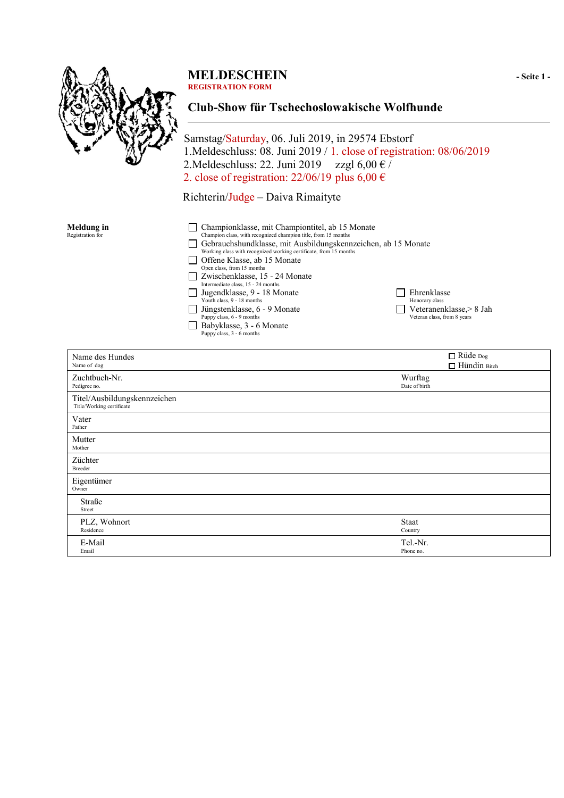

# **MELDESCHEIN** - Seite 1 -

**REGISTRATION FORM**

# **Club-Show für Tschechoslowakische Wolfhunde**

Samstag/Saturday, 06. Juli 2019, in 29574 Ebstorf 1.Meldeschluss: 08. Juni 2019 / 1. close of registration: 08/06/2019 2.Meldeschluss: 22. Juni 2019 zzgl 6,00  $\epsilon$  / 2. close of registration: 22/06/19 plus 6,00  $\epsilon$ 

Richterin/Judge – Daiva Rimaityte

| Meldung in<br>Registration for | Championklasse, mit Championtitel, ab 15 Monate<br>Champion class, with recognized champion title, from 15 months<br>Gebrauchshundklasse, mit Ausbildungskennzeichen, ab 15 Monate<br>Working class with recognized working certificate, from 15 months<br>Offene Klasse, ab 15 Monate |                                                                                          |  |
|--------------------------------|----------------------------------------------------------------------------------------------------------------------------------------------------------------------------------------------------------------------------------------------------------------------------------------|------------------------------------------------------------------------------------------|--|
|                                | Open class, from 15 months<br>Zwischenklasse, 15 - 24 Monate<br>Intermediate class, 15 - 24 months<br>Jugendklasse, 9 - 18 Monate<br>Youth class, 9 - 18 months<br>Jüngstenklasse, 6 - 9 Monate<br>Puppy class, 6 - 9 months<br>Babyklasse, 3 - 6 Monate<br>Puppy class, 3 - 6 months  | Ehrenklasse<br>Honorary class<br>Veteranenklasse, > 8 Jah<br>Veteran class, from 8 years |  |

| Name des Hundes<br>Name of dog                            | □ Rüde Dog<br>$\Box$ Hündin Bitch |
|-----------------------------------------------------------|-----------------------------------|
| Zuchtbuch-Nr.<br>Pedigree no.                             | Wurftag<br>Date of birth          |
| Titel/Ausbildungskennzeichen<br>Title/Working certificate |                                   |
| Vater<br>Father                                           |                                   |
| Mutter<br>Mother                                          |                                   |
| Züchter<br>Breeder                                        |                                   |
| Eigentümer<br>Owner                                       |                                   |
| Straße<br>Street                                          |                                   |
| PLZ, Wohnort<br>Residence                                 | <b>Staat</b><br>Country           |
| E-Mail<br>Email                                           | Tel.-Nr.<br>Phone no.             |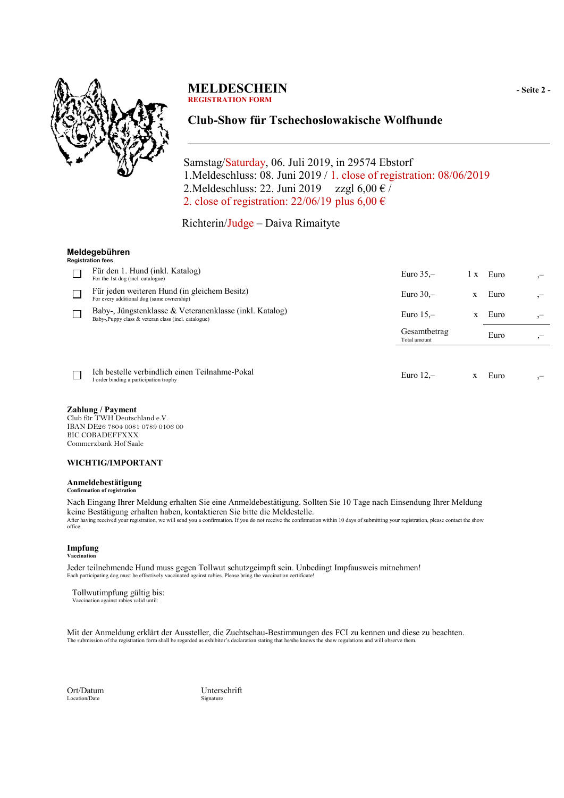

### **MELDESCHEIN** - Seite 2 -**REGISTRATION FORM**

## **Club-Show für Tschechoslowakische Wolfhunde**

 Samstag/Saturday, 06. Juli 2019, in 29574 Ebstorf 1.Meldeschluss: 08. Juni 2019 / 1. close of registration: 08/06/2019 2.Meldeschluss: 22. Juni 2019 zzgl  $6,00 \in \ell$ 2. close of registration:  $22/06/19$  plus  $6,00 \in$ 

Richterin/Judge – Daiva Rimaityte

#### **Meldegebühren**

| Registration fees                                                                                               |                              |     |      |  |
|-----------------------------------------------------------------------------------------------------------------|------------------------------|-----|------|--|
| Für den 1. Hund (inkl. Katalog)<br>For the 1st dog (incl. catalogue)                                            | Euro $35 -$                  | 1 X | Euro |  |
| Für jeden weiteren Hund (in gleichem Besitz)<br>For every additional dog (same ownership)                       | Euro $30 -$                  | X   | Euro |  |
| Baby-, Jüngstenklasse & Veteranenklasse (inkl. Katalog)<br>Baby-, Puppy class & veteran class (incl. catalogue) | Euro $15$ –<br>$\mathbf{x}$  |     | Euro |  |
|                                                                                                                 | Gesamtbetrag<br>Total amount |     | Euro |  |
|                                                                                                                 |                              |     |      |  |
| Ich bestelle verbindlich einen Teilnahme-Pokal<br>I order binding a participation trophy                        | Euro $12$ –                  |     | Euro |  |

#### **Zahlung / Payment**

Club für TWH Deutschland e.V. IBAN DE26 7804 0081 0789 0106 00 BIC COBADEFFXXX Commerzbank Hof Saale

#### **WICHTIG/IMPORTANT**

### **Anmeldebestätigung**

**Confirmation of registration**

Nach Eingang Ihrer Meldung erhalten Sie eine Anmeldebestätigung. Sollten Sie 10 Tage nach Einsendung Ihrer Meldung keine Bestätigung erhalten haben, kontaktieren Sie bitte die Meldestelle. After having received your registration, we will send you a confirmation. If you do not receive the confirmation within 10 days of submitting your registration, please contact the show office.

#### **Impfung Vaccination**

Jeder teilnehmende Hund muss gegen Tollwut schutzgeimpft sein. Unbedingt Impfausweis mitnehmen! Each participating dog must be effectively vaccinated against rabies. Please bring the vaccination certificate

Tollwutimpfung gültig bis:

Vaccination against rabies valid until:

Mit der Anmeldung erklärt der Aussteller, die Zuchtschau-Bestimmungen des FCI zu kennen und diese zu beachten. The submission of the registration form shall be regarded as exhibitor's declaration stating that he/she knows the show regulations and will observe them.

Ort/Datum Unterschrift Location/Date Signature